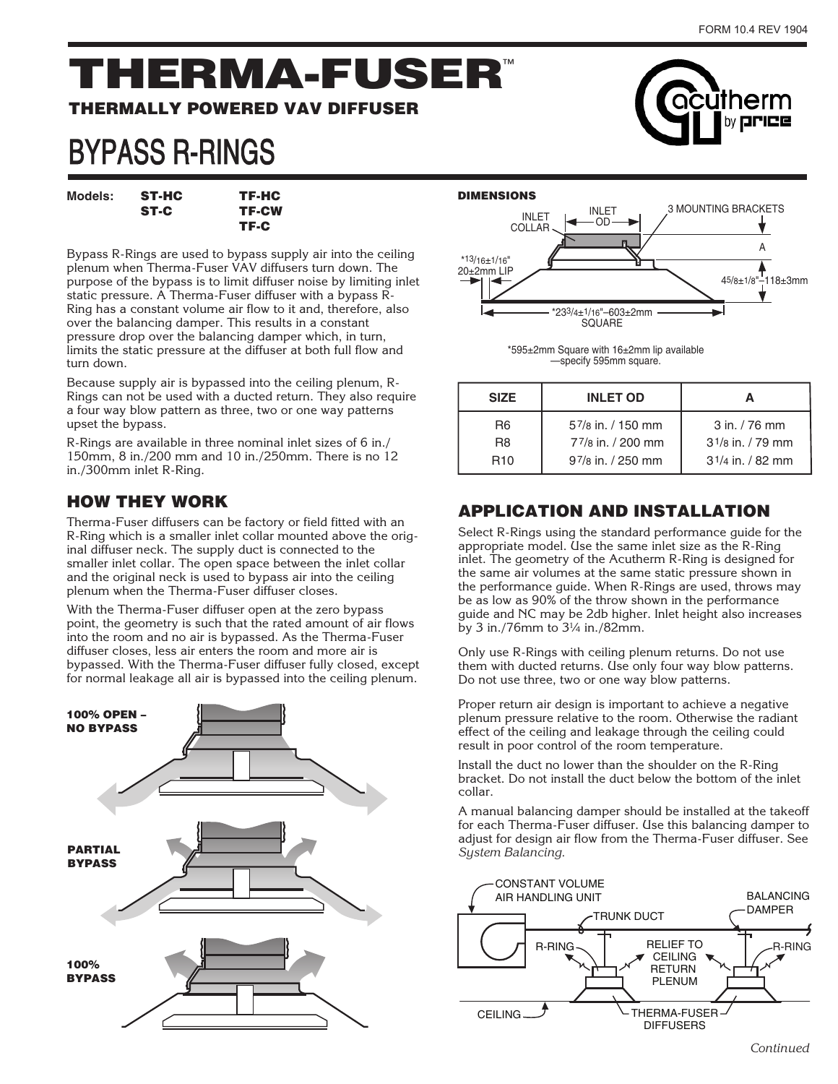cutherm by **ririce** 

# THERMA-FUSER™

#### THERMALLY POWERED VAV DIFFUSER

# BYPASS R-RINGS

Models: **ST-HC** TF-HC ST-C TF-CW

Bypass R-Rings are used to bypass supply air into the ceiling plenum when Therma-Fuser VAV diffusers turn down. The purpose of the bypass is to limit diffuser noise by limiting inlet static pressure. A Therma-Fuser diffuser with a bypass R-Ring has a constant volume air flow to it and, therefore, also over the balancing damper. This results in a constant pressure drop over the balancing damper which, in turn, limits the static pressure at the diffuser at both full flow and turn down.

TF-C

Because supply air is bypassed into the ceiling plenum, R-Rings can not be used with a ducted return. They also require a four way blow pattern as three, two or one way patterns upset the bypass.

R-Rings are available in three nominal inlet sizes of 6 in./ 150mm, 8 in./200 mm and 10 in./250mm. There is no 12 in./300mm inlet R-Ring.

### HOW THEY WORK

Therma-Fuser diffusers can be factory or field fitted with an R-Ring which is a smaller inlet collar mounted above the original diffuser neck. The supply duct is connected to the smaller inlet collar. The open space between the inlet collar and the original neck is used to bypass air into the ceiling plenum when the Therma-Fuser diffuser closes.

With the Therma-Fuser diffuser open at the zero bypass point, the geometry is such that the rated amount of air flows into the room and no air is bypassed. As the Therma-Fuser diffuser closes, less air enters the room and more air is bypassed. With the Therma-Fuser diffuser fully closed, except for normal leakage all air is bypassed into the ceiling plenum.





\*595±2mm Square with 16±2mm lip available —specify 595mm square.

| <b>SIZE</b>           | <b>INLET OD</b>   |                    |  |
|-----------------------|-------------------|--------------------|--|
| R6                    | 57/8 in. / 150 mm | $3$ in. $/76$ mm   |  |
| R8                    | 77/8 in. / 200 mm | $31/s$ in. / 79 mm |  |
| <b>R<sub>10</sub></b> | 97/8 in. / 250 mm | $31/4$ in. / 82 mm |  |

## APPLICATION AND INSTALLATION

Select R-Rings using the standard performance guide for the appropriate model. Use the same inlet size as the R-Ring inlet. The geometry of the Acutherm R-Ring is designed for the same air volumes at the same static pressure shown in the performance guide. When R-Rings are used, throws may be as low as 90% of the throw shown in the performance guide and NC may be 2db higher. Inlet height also increases by 3 in./76mm to 3¼ in./82mm.

Only use R-Rings with ceiling plenum returns. Do not use them with ducted returns. Use only four way blow patterns. Do not use three, two or one way blow patterns.

Proper return air design is important to achieve a negative plenum pressure relative to the room. Otherwise the radiant effect of the ceiling and leakage through the ceiling could result in poor control of the room temperature.

Install the duct no lower than the shoulder on the R-Ring bracket. Do not install the duct below the bottom of the inlet collar.

A manual balancing damper should be installed at the takeoff for each Therma-Fuser diffuser. Use this balancing damper to adjust for design air flow from the Therma-Fuser diffuser. See System Balancing.



**Continued**